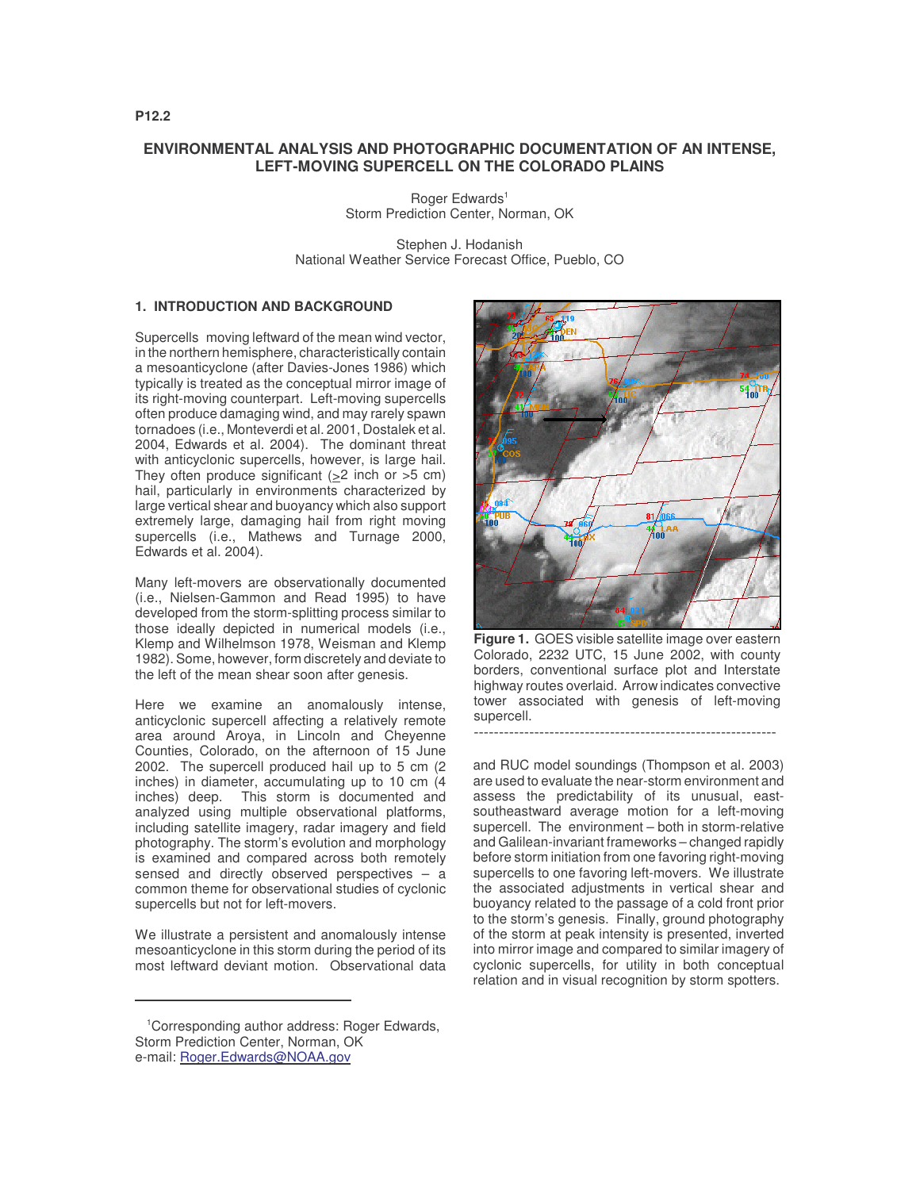# **ENVIRONMENTAL ANALYSIS AND PHOTOGRAPHIC DOCUMENTATION OF AN INTENSE, LEFT-MOVING SUPERCELL ON THE COLORADO PLAINS**

Roger Edwards 1 Storm Prediction Center, Norman, OK

Stephen J. Hodanish National Weather Service Forecast Office, Pueblo, CO

## **1. INTRODUCTION AND BACKGROUND**

Supercells moving leftward of the mean wind vector, in the northern hemisphere, characteristically contain a mesoanticyclone (after Davies-Jones 1986) which typically is treated as the conceptual mirror image of its right-moving counterpart. Left-moving supercells often produce damaging wind, and may rarely spawn tornadoes (i.e., Monteverdi et al. 2001, Dostalek et al. 2004, Edwards et al. 2004). The dominant threat with anticyclonic supercells, however, is large hail. They often produce significant  $(>2$  inch or  $>5$  cm) hail, particularly in environments characterized by large vertical shear and buoyancy which also support extremely large, damaging hail from right moving supercells (i.e., Mathews and Turnage 2000, Edwards et al. 2004).

Many left-movers are observationally documented (i.e., Nielsen-Gammon and Read 1995) to have developed from the storm-splitting process similar to those ideally depicted in numerical models (i.e., Klemp and Wilhelmson 1978, Weisman and Klemp 1982). Some, however, form discretely and deviate to the left of the mean shear soon after genesis.

Here we examine an anomalously intense, anticyclonic supercell affecting a relatively remote area around Aroya, in Lincoln and Cheyenne Counties, Colorado, on the afternoon of 15 June 2002. The supercell produced hail up to 5 cm (2 inches) in diameter, accumulating up to 10 cm (4 inches) deep. This storm is documented and analyzed using multiple observational platforms, including satellite imagery, radar imagery and field photography. The storm's evolution and morphology is examined and compared across both remotely sensed and directly observed perspectives – a common theme for observational studies of cyclonic supercells but not for left-movers.

We illustrate a persistent and anomalously intense mesoanticyclone in this storm during the period of its most leftward deviant motion. Observational data



**Figure 1.** GOES visible satellite image over eastern Colorado, 2232 UTC, 15 June 2002, with county borders, conventional surface plot and Interstate highway routes overlaid. Arrow indicates convective tower associated with genesis of left-moving supercell. ------------------------------------------------------------

and RUC model soundings (Thompson et al. 2003) are used to evaluate the near-storm environment and assess the predictability of its unusual, eastsoutheastward average motion for a left-moving supercell. The environment – both in storm-relative and Galilean-invariant frameworks – changed rapidly before storm initiation from one favoring right-moving supercells to one favoring left-movers. We illustrate the associated adjustments in vertical shear and buoyancy related to the passage of a cold front prior to the storm's genesis. Finally, ground photography of the storm at peak intensity is presented, inverted into mirror image and compared to similar imagery of cyclonic supercells, for utility in both conceptual relation and in visual recognition by storm spotters.

**P12.2**

<sup>1</sup>Corresponding author address: Roger Edwards, Storm Prediction Center, Norman, OK e-mail: Roger.Edwards@NOAA.gov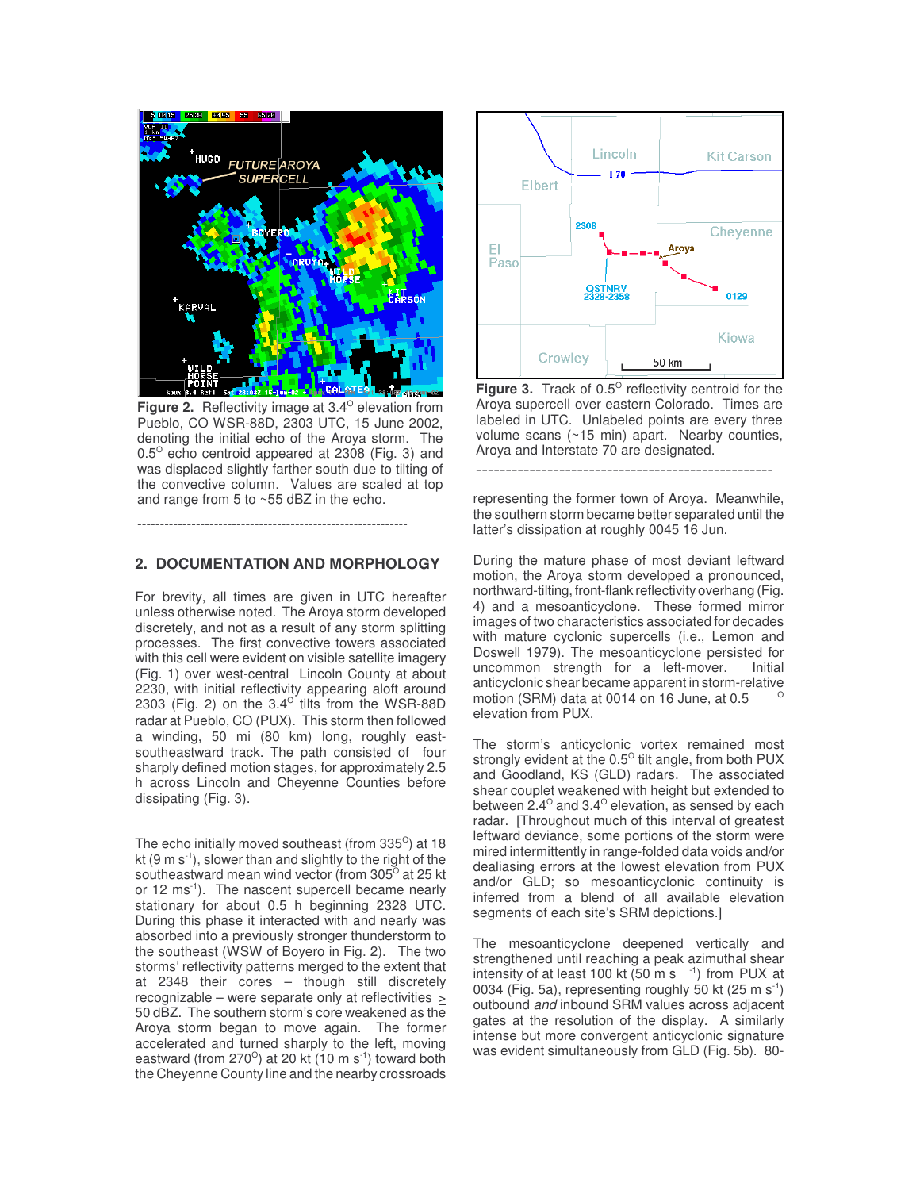

**Figure 2.** Reflectivity image at 3.4<sup>°</sup> elevation from Pueblo, CO WSR-88D, 2303 UTC, 15 June 2002, denoting the initial echo of the Aroya storm. The  $0.5^{\circ}$  echo centroid appeared at 2308 (Fig. 3) and was displaced slightly farther south due to tilting of the convective column. Values are scaled at top and range from 5 to ~55 dBZ in the echo.

## **2. DOCUMENTATION AND MORPHOLOGY**

------------------------------------------------------------

For brevity, all times are given in UTC hereafter unless otherwise noted. The Aroya storm developed discretely, and not as a result of any storm splitting processes. The first convective towers associated with this cell were evident on visible satellite imagery (Fig. 1) over west-central Lincoln County at about 2230, with initial reflectivity appearing aloft around 2303 (Fig. 2) on the  $3.4^\circ$  tilts from the WSR-88D radar at Pueblo, CO (PUX). This storm then followed a winding, 50 mi (80 km) long, roughly eastsoutheastward track. The path consisted of four sharply defined motion stages, for approximately 2.5 h across Lincoln and Cheyenne Counties before dissipating (Fig. 3).

The echo initially moved southeast (from 335 $^{\circ}$ ) at 18 kt (9 m  $s^{-1}$ ), slower than and slightly to the right of the southeastward mean wind vector (from 305<sup>o</sup> at 25 kt or 12 ms<sup>-1</sup>). The nascent supercell became nearly stationary for about 0.5 h beginning 2328 UTC. During this phase it interacted with and nearly was absorbed into a previously stronger thunderstorm to the southeast (WSW of Boyero in Fig. 2). The two storms' reflectivity patterns merged to the extent that at 2348 their cores – though still discretely recognizable – were separate only at reflectivities  $\geq$ 50 dBZ. The southern storm's core weakened as the Aroya storm began to move again. The former accelerated and turned sharply to the left, moving eastward (from 270 $^{\circ}$ ) at 20 kt (10 m s $^{\circ}$ ) toward both the Cheyenne County line and the nearby crossroads



Figure 3. Track of 0.5° reflectivity centroid for the Aroya supercell over eastern Colorado. Times are labeled in UTC. Unlabeled points are every three volume scans (~15 min) apart. Nearby counties, Aroya and Interstate 70 are designated.

representing the former town of Aroya. Meanwhile, the southern storm became better separated until the latter's dissipation at roughly 0045 16 Jun.

--------------------------------------------------

During the mature phase of most deviant leftward motion, the Aroya storm developed a pronounced, northward-tilting, front-flank reflectivity overhang (Fig. 4) and a mesoanticyclone. These formed mirror images of two characteristics associated for decades with mature cyclonic supercells (i.e., Lemon and Doswell 1979). The mesoanticyclone persisted for uncommon strength for a left-mover. Initial anticyclonic shear became apparent in storm-relative motion (SRM) data at 0014 on 16 June, at 0.5 O elevation from PUX.

The storm's anticyclonic vortex remained most strongly evident at the 0.5<sup>o</sup> tilt angle, from both PUX and Goodland, KS (GLD) radars. The associated shear couplet weakened with height but extended to between 2.4 $^{\circ}$  and 3.4 $^{\circ}$  elevation, as sensed by each radar. [Throughout much of this interval of greatest leftward deviance, some portions of the storm were mired intermittently in range-folded data voids and/or dealiasing errors at the lowest elevation from PUX and/or GLD; so mesoanticyclonic continuity is inferred from a blend of all available elevation segments of each site's SRM depictions.]

The mesoanticyclone deepened vertically and strengthened until reaching a peak azimuthal shear intensity of at least 100 kt (50 m s <sup>-1</sup>) from PUX at 0034 (Fig. 5a), representing roughly 50 kt (25 m s<sup>-1</sup>) outbound *and* inbound SRM values across adjacent gates at the resolution of the display. A similarly intense but more convergent anticyclonic signature was evident simultaneously from GLD (Fig. 5b). 80-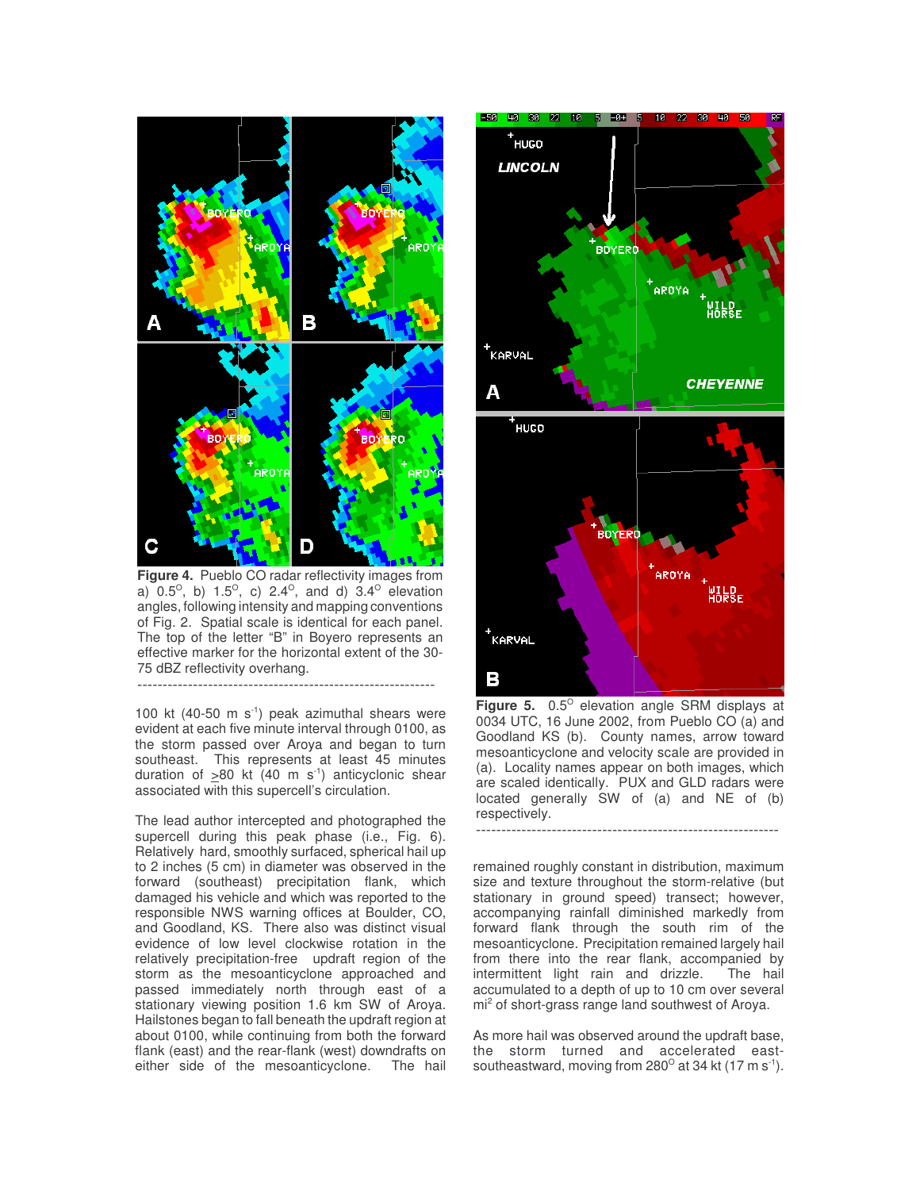

**Figure 4.** Pueblo CO radar reflectivity images from a)  $0.5^{\circ}$ , b)  $1.5^{\circ}$ , c)  $2.4^{\circ}$ , and d)  $3.4^{\circ}$  elevation angles, following intensity and mapping conventions of Fig. 2. Spatial scale is identical for each panel. The top of the letter "B" in Boyero represents an effective marker for the horizontal extent of the 30- 75 dBZ reflectivity overhang.

-----------------------------------------------------------

100 kt (40-50 m s<sup>-1</sup>) peak azimuthal shears were evident at each five minute interval through 0100, as the storm passed over Aroya and began to turn southeast. This represents at least 45 minutes duration of  $\geq 80$  kt (40 m s<sup>-1</sup>) anticyclonic shear associated with this supercell's circulation.

The lead author intercepted and photographed the supercell during this peak phase (i.e., Fig. 6). Relatively hard, smoothly surfaced, spherical hail up to 2 inches (5 cm) in diameter was observed in the forward (southeast) precipitation flank, which damaged his vehicle and which was reported to the responsible NWS warning offices at Boulder, CO, and Goodland, KS. There also was distinct visual evidence of low level clockwise rotation in the relatively precipitation-free updraft region of the storm as the mesoanticyclone approached and passed immediately north through east of a stationary viewing position 1.6 km SW of Aroya. Hailstones began to fall beneath the updraft region at about 0100, while continuing from both the forward flank (east) and the rear-flank (west) downdrafts on either side of the mesoanticyclone. The hail



**Figure 5.** 0.5<sup>°</sup> elevation angle SRM displays at 0034 UTC, 16 June 2002, from Pueblo CO (a) and Goodland KS (b). County names, arrow toward mesoanticyclone and velocity scale are provided in (a). Locality names appear on both images, which are scaled identically. PUX and GLD radars were located generally SW of (a) and NE of (b) respectively.

------------------------------------------------------------

remained roughly constant in distribution, maximum size and texture throughout the storm-relative (but stationary in ground speed) transect; however, accompanying rainfall diminished markedly from forward flank through the south rim of the mesoanticyclone. Precipitation remained largely hail from there into the rear flank, accompanied by intermittent light rain and drizzle. The hail accumulated to a depth of up to 10 cm over several mi <sup>2</sup> of short-grass range land southwest of Aroya.

As more hail was observed around the updraft base, the storm turned and accelerated eastsoutheastward, moving from 280 $^{\circ}$  at 34 kt (17 m s<sup>-1</sup>).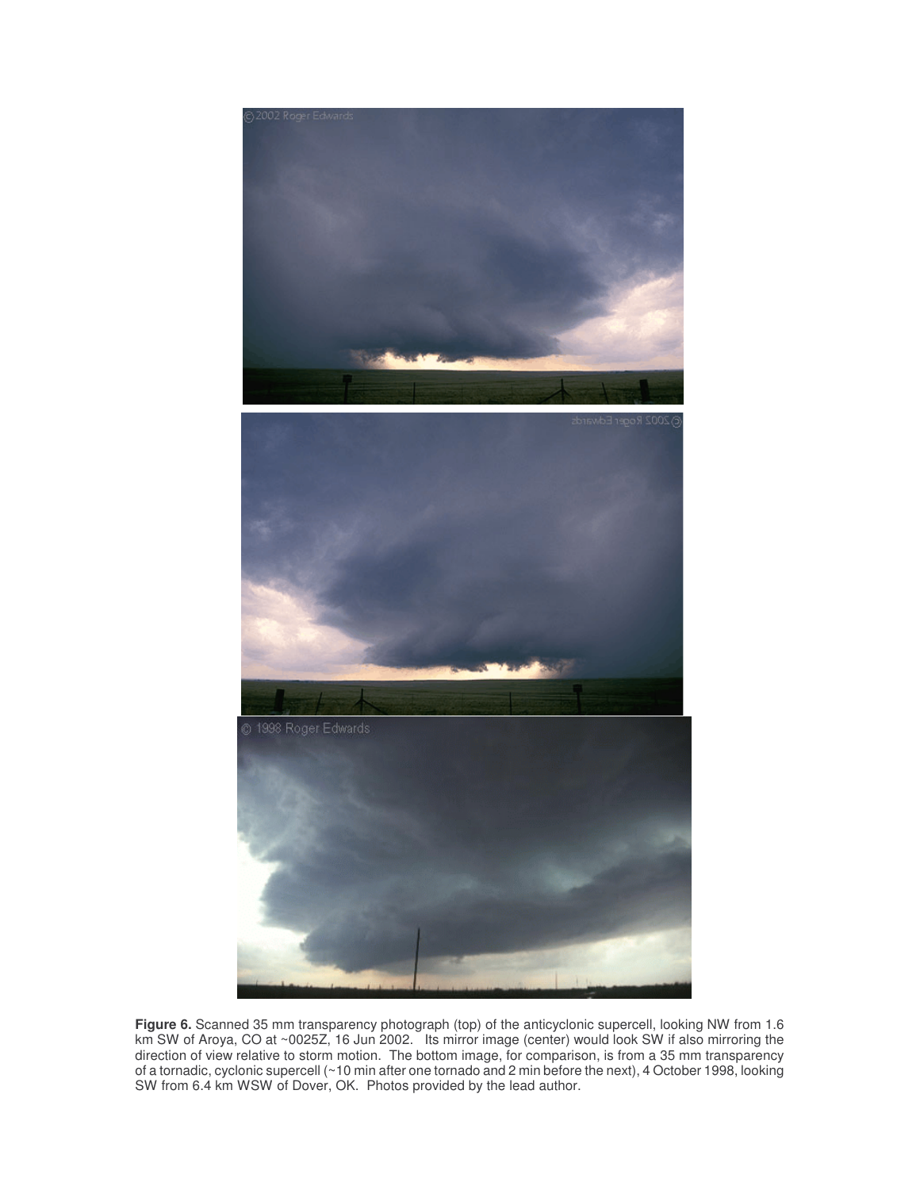





**Figure 6.** Scanned 35 mm transparency photograph (top) of the anticyclonic supercell, looking NW from 1.6 km SW of Aroya, CO at ~0025Z, 16 Jun 2002. Its mirror image (center) would look SW if also mirroring the direction of view relative to storm motion. The bottom image, for comparison, is from a 35 mm transparency of a tornadic, cyclonic supercell (~10 min after one tornado and 2 min before the next), 4 October 1998, looking SW from 6.4 km WSW of Dover, OK. Photos provided by the lead author.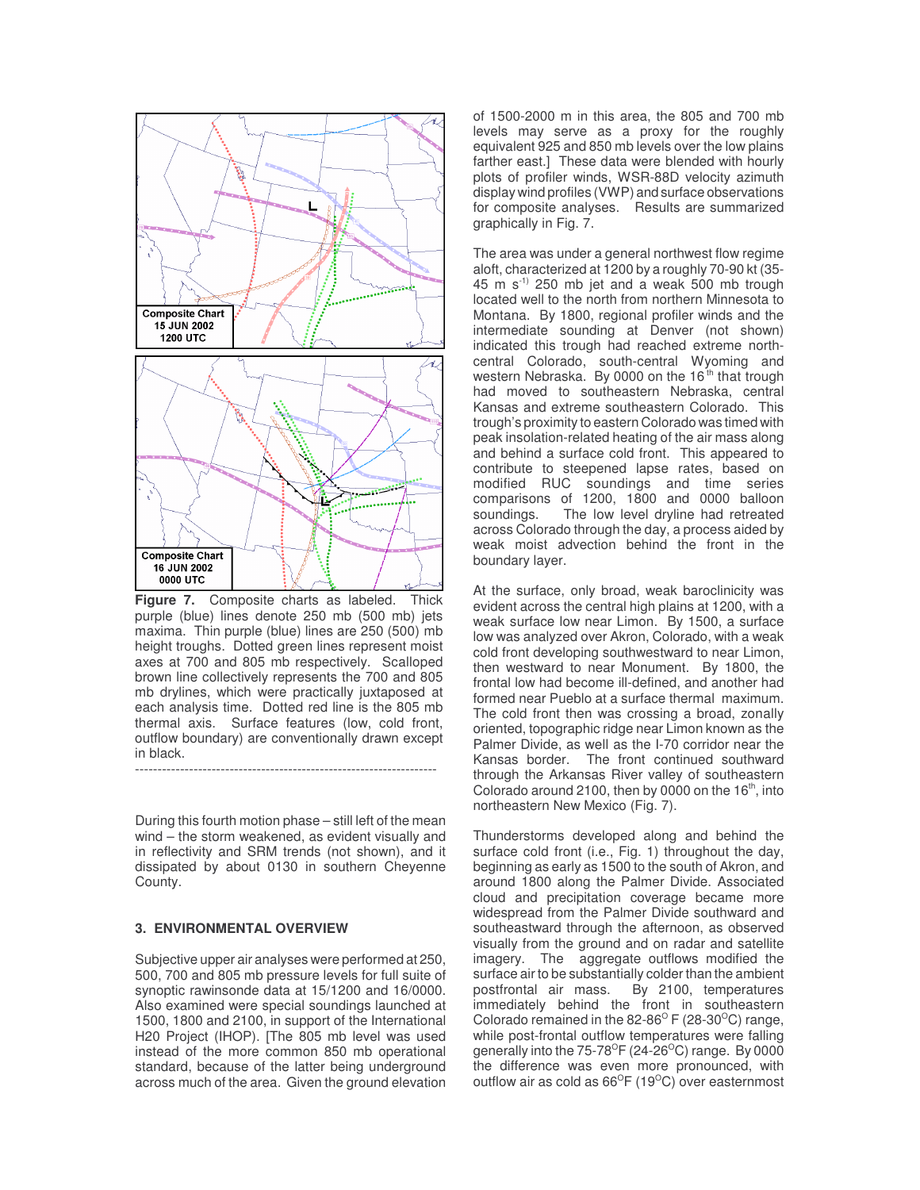

**Figure 7.** Composite charts as labeled. Thick purple (blue) lines denote 250 mb (500 mb) jets maxima. Thin purple (blue) lines are 250 (500) mb height troughs. Dotted green lines represent moist axes at 700 and 805 mb respectively. Scalloped brown line collectively represents the 700 and 805 mb drylines, which were practically juxtaposed at each analysis time. Dotted red line is the 805 mb thermal axis. Surface features (low, cold front, outflow boundary) are conventionally drawn except in black.

-------------------------------------------------------------------

During this fourth motion phase – still left of the mean wind – the storm weakened, as evident visually and in reflectivity and SRM trends (not shown), and it dissipated by about 0130 in southern Cheyenne County.

#### **3. ENVIRONMENTAL OVERVIEW**

Subjective upper air analyses were performed at 250, 500, 700 and 805 mb pressure levels for full suite of synoptic rawinsonde data at 15/1200 and 16/0000. Also examined were special soundings launched at 1500, 1800 and 2100, in support of the International H20 Project (IHOP). [The 805 mb level was used instead of the more common 850 mb operational standard, because of the latter being underground across much of the area. Given the ground elevation

of 1500-2000 m in this area, the 805 and 700 mb levels may serve as a proxy for the roughly equivalent 925 and 850 mb levels over the low plains farther east.] These data were blended with hourly plots of profiler winds, WSR-88D velocity azimuth display wind profiles (VWP) and surface observations for composite analyses. Results are summarized graphically in Fig. 7.

The area was under a general northwest flow regime aloft, characterized at 1200 by a roughly 70-90 kt (35- 45 m s -1) 250 mb jet and a weak 500 mb trough located well to the north from northern Minnesota to Montana. By 1800, regional profiler winds and the intermediate sounding at Denver (not shown) indicated this trough had reached extreme northcentral Colorado, south-central Wyoming and western Nebraska. By 0000 on the 16<sup>th</sup> that trough had moved to southeastern Nebraska, central Kansas and extreme southeastern Colorado. This trough's proximity to eastern Colorado was timed with peak insolation-related heating of the air mass along and behind a surface cold front. This appeared to contribute to steepened lapse rates, based on modified RUC soundings and time series comparisons of 1200, 1800 and 0000 balloon soundings. The low level dryline had retreated across Colorado through the day, a process aided by weak moist advection behind the front in the boundary layer.

At the surface, only broad, weak baroclinicity was evident across the central high plains at 1200, with a weak surface low near Limon. By 1500, a surface low was analyzed over Akron, Colorado, with a weak cold front developing southwestward to near Limon, then westward to near Monument. By 1800, the frontal low had become ill-defined, and another had formed near Pueblo at a surface thermal maximum. The cold front then was crossing a broad, zonally oriented, topographic ridge near Limon known as the Palmer Divide, as well as the I-70 corridor near the Kansas border. The front continued southward through the Arkansas River valley of southeastern Colorado around 2100, then by 0000 on the 16<sup>th</sup>, into northeastern New Mexico (Fig. 7).

Thunderstorms developed along and behind the surface cold front (i.e., Fig. 1) throughout the day, beginning as early as 1500 to the south of Akron, and around 1800 along the Palmer Divide. Associated cloud and precipitation coverage became more widespread from the Palmer Divide southward and southeastward through the afternoon, as observed visually from the ground and on radar and satellite imagery. The aggregate outflows modified the surface air to be substantially colder than the ambient<br>postfrontal air mass. By 2100, temperatures By 2100, temperatures immediately behind the front in southeastern Colorado remained in the 82-86 $\mathrm{^{\circ}F}$  (28-30 $\mathrm{^{\circ}C}$ ) range, while post-frontal outflow temperatures were falling generally into the 75-78 $^{\circ}$ F (24-26 $^{\circ}$ C) range. By 0000 the difference was even more pronounced, with outflow air as cold as 66 $^{\circ}$ F (19 $^{\circ}$ C) over easternmost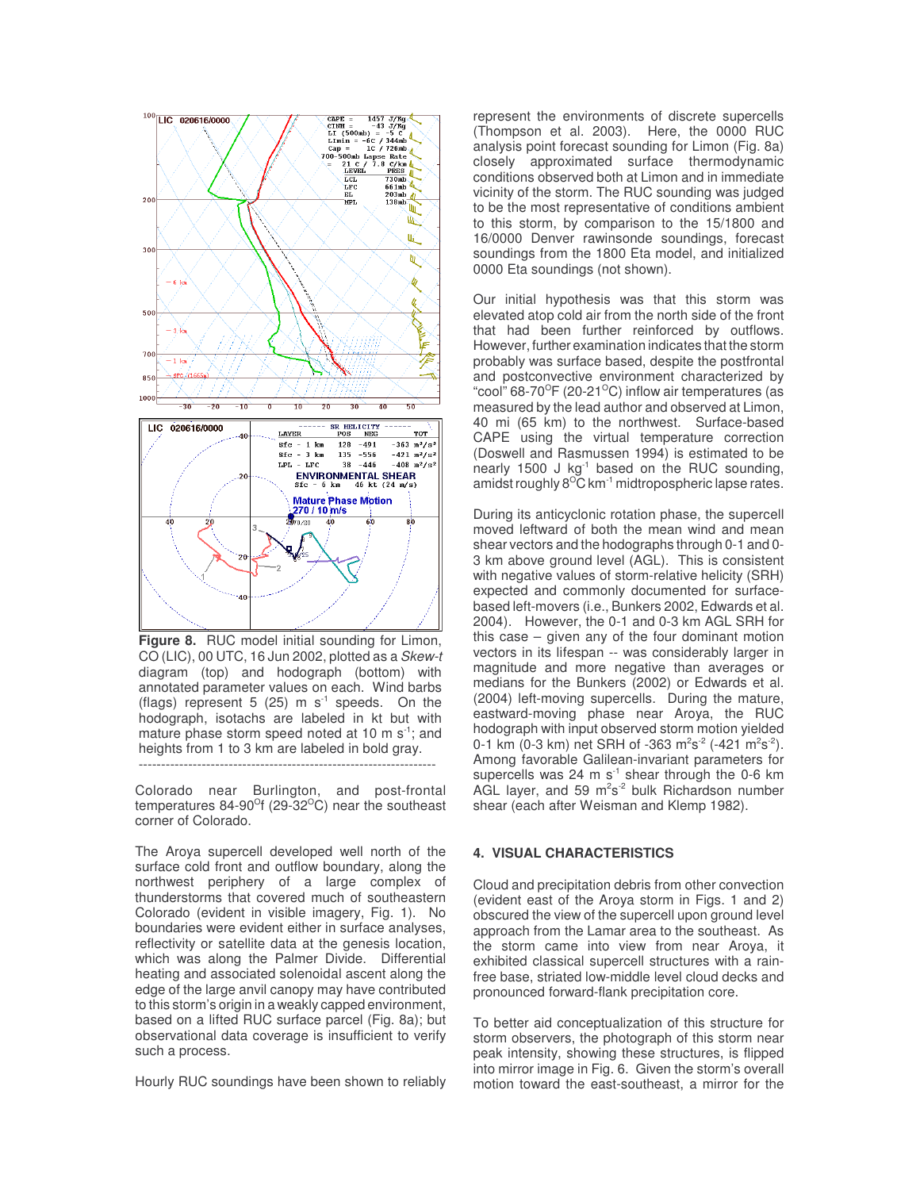

**Figure 8.** RUC model initial sounding for Limon, CO (LIC), 00 UTC, 16 Jun 2002, plotted as a *Skew-t* diagram (top) and hodograph (bottom) with annotated parameter values on each. Wind barbs (flags) represent 5 (25)  $m s<sup>-1</sup>$  speeds. On the hodograph, isotachs are labeled in kt but with mature phase storm speed noted at 10 m s<sup>-1</sup>; and heights from 1 to 3 km are labeled in bold gray. ------------------------------------------------------------------

Colorado near Burlington, and post-frontal temperatures 84-90<sup>o</sup>f (29-32<sup>o</sup>C) near the southeast corner of Colorado.

The Aroya supercell developed well north of the surface cold front and outflow boundary, along the northwest periphery of a large complex of thunderstorms that covered much of southeastern Colorado (evident in visible imagery, Fig. 1). No boundaries were evident either in surface analyses, reflectivity or satellite data at the genesis location, which was along the Palmer Divide. Differential heating and associated solenoidal ascent along the edge of the large anvil canopy may have contributed to this storm's origin in a weakly capped environment, based on a lifted RUC surface parcel (Fig. 8a); but observational data coverage is insufficient to verify such a process.

Hourly RUC soundings have been shown to reliably

represent the environments of discrete supercells (Thompson et al. 2003). Here, the 0000 RUC analysis point forecast sounding for Limon (Fig. 8a) closely approximated surface thermodynamic conditions observed both at Limon and in immediate vicinity of the storm. The RUC sounding was judged to be the most representative of conditions ambient to this storm, by comparison to the 15/1800 and 16/0000 Denver rawinsonde soundings, forecast soundings from the 1800 Eta model, and initialized 0000 Eta soundings (not shown).

Our initial hypothesis was that this storm was elevated atop cold air from the north side of the front that had been further reinforced by outflows. However, further examination indicates that the storm probably was surface based, despite the postfrontal and postconvective environment characterized by "cool" 68-70<sup>o</sup>F (20-21<sup>o</sup>C) inflow air temperatures (as measured by the lead author and observed at Limon, 40 mi (65 km) to the northwest. Surface-based CAPE using the virtual temperature correction (Doswell and Rasmussen 1994) is estimated to be nearly 1500  $J kg<sup>-1</sup>$  based on the RUC sounding, amidst roughly  $8^{\circ}$ C km<sup>-1</sup> midtropospheric lapse rates.

During its anticyclonic rotation phase, the supercell moved leftward of both the mean wind and mean shear vectors and the hodographs through 0-1 and 0- 3 km above ground level (AGL). This is consistent with negative values of storm-relative helicity (SRH) expected and commonly documented for surfacebased left-movers (i.e., Bunkers 2002, Edwards et al. 2004). However, the 0-1 and 0-3 km AGL SRH for this case – given any of the four dominant motion vectors in its lifespan -- was considerably larger in magnitude and more negative than averages or medians for the Bunkers (2002) or Edwards et al. (2004) left-moving supercells. During the mature, eastward-moving phase near Aroya, the RUC hodograph with input observed storm motion yielded 0-1 km (0-3 km) net SRH of -363 m<sup>2</sup>s<sup>-2</sup> (-421 m<sup>2</sup>s<sup>-2</sup>). Among favorable Galilean-invariant parameters for supercells was 24 m  $s^{-1}$  shear through the 0-6 km AGL layer, and 59 m<sup>2</sup>s<sup>-2</sup> bulk Richardson number shear (each after Weisman and Klemp 1982).

### **4. VISUAL CHARACTERISTICS**

Cloud and precipitation debris from other convection (evident east of the Aroya storm in Figs. 1 and 2) obscured the view of the supercell upon ground level approach from the Lamar area to the southeast. As the storm came into view from near Aroya, it exhibited classical supercell structures with a rainfree base, striated low-middle level cloud decks and pronounced forward-flank precipitation core.

To better aid conceptualization of this structure for storm observers, the photograph of this storm near peak intensity, showing these structures, is flipped into mirror image in Fig. 6. Given the storm's overall motion toward the east-southeast, a mirror for the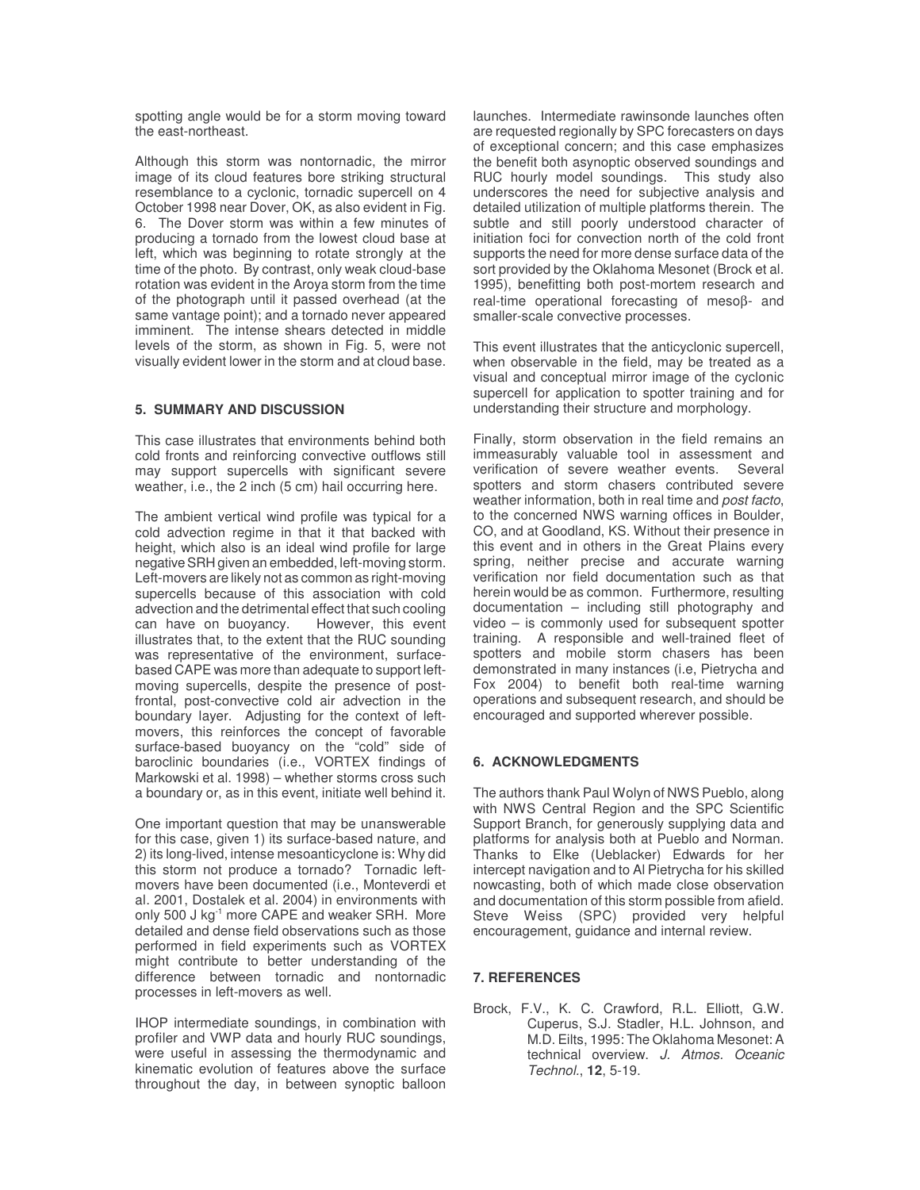spotting angle would be for a storm moving toward the east-northeast.

Although this storm was nontornadic, the mirror image of its cloud features bore striking structural resemblance to a cyclonic, tornadic supercell on 4 October 1998 near Dover, OK, as also evident in Fig. 6. The Dover storm was within a few minutes of producing a tornado from the lowest cloud base at left, which was beginning to rotate strongly at the time of the photo. By contrast, only weak cloud-base rotation was evident in the Aroya storm from the time of the photograph until it passed overhead (at the same vantage point); and a tornado never appeared imminent. The intense shears detected in middle levels of the storm, as shown in Fig. 5, were not visually evident lower in the storm and at cloud base.

## **5. SUMMARY AND DISCUSSION**

This case illustrates that environments behind both cold fronts and reinforcing convective outflows still may support supercells with significant severe weather, i.e., the 2 inch (5 cm) hail occurring here.

The ambient vertical wind profile was typical for a cold advection regime in that it that backed with height, which also is an ideal wind profile for large negative SRH given an embedded, left-moving storm. Left-movers are likely not as common as right-moving supercells because of this association with cold advection and the detrimental effect that such cooling<br>can have on buovancy. However, this event can have on buoyancy. illustrates that, to the extent that the RUC sounding was representative of the environment, surfacebased CAPE was more than adequate to support leftmoving supercells, despite the presence of postfrontal, post-convective cold air advection in the boundary layer. Adjusting for the context of leftmovers, this reinforces the concept of favorable surface-based buoyancy on the "cold" side of baroclinic boundaries (i.e., VORTEX findings of Markowski et al. 1998) – whether storms cross such a boundary or, as in this event, initiate well behind it.

One important question that may be unanswerable for this case, given 1) its surface-based nature, and 2) its long-lived, intense mesoanticyclone is: Why did this storm not produce a tornado? Tornadic leftmovers have been documented (i.e., Monteverdi et al. 2001, Dostalek et al. 2004) in environments with only 500 J kg<sup>-1</sup> more CAPE and weaker SRH. More detailed and dense field observations such as those performed in field experiments such as VORTEX might contribute to better understanding of the difference between tornadic and nontornadic processes in left-movers as well.

IHOP intermediate soundings, in combination with profiler and VWP data and hourly RUC soundings, were useful in assessing the thermodynamic and kinematic evolution of features above the surface throughout the day, in between synoptic balloon launches. Intermediate rawinsonde launches often are requested regionally by SPC forecasters on days of exceptional concern; and this case emphasizes the benefit both asynoptic observed soundings and RUC hourly model soundings. This study also underscores the need for subjective analysis and detailed utilization of multiple platforms therein. The subtle and still poorly understood character of initiation foci for convection north of the cold front supports the need for more dense surface data of the sort provided by the Oklahoma Mesonet (Brock et al. 1995), benefitting both post-mortem research and real-time operational forecasting of mesoβ- and smaller-scale convective processes.

This event illustrates that the anticyclonic supercell, when observable in the field, may be treated as a visual and conceptual mirror image of the cyclonic supercell for application to spotter training and for understanding their structure and morphology.

Finally, storm observation in the field remains an immeasurably valuable tool in assessment and<br>verification of severe weather events. Several verification of severe weather events. spotters and storm chasers contributed severe weather information, both in real time and *post facto*, to the concerned NWS warning offices in Boulder, CO, and at Goodland, KS. Without their presence in this event and in others in the Great Plains every spring, neither precise and accurate warning verification nor field documentation such as that herein would be as common. Furthermore, resulting documentation – including still photography and video – is commonly used for subsequent spotter training. A responsible and well-trained fleet of spotters and mobile storm chasers has been demonstrated in many instances (i.e, Pietrycha and Fox 2004) to benefit both real-time warning operations and subsequent research, and should be encouraged and supported wherever possible.

## **6. ACKNOWLEDGMENTS**

The authors thank Paul Wolyn of NWS Pueblo, along with NWS Central Region and the SPC Scientific Support Branch, for generously supplying data and platforms for analysis both at Pueblo and Norman. Thanks to Elke (Ueblacker) Edwards for her intercept navigation and to Al Pietrycha for his skilled nowcasting, both of which made close observation and documentation of this storm possible from afield. Steve Weiss (SPC) provided very helpful encouragement, guidance and internal review.

## **7. REFERENCES**

Brock, F.V., K. C. Crawford, R.L. Elliott, G.W. Cuperus, S.J. Stadler, H.L. Johnson, and M.D. Eilts, 1995: The Oklahoma Mesonet: A technical overview. *J. Atmos. Oceanic Technol.*, **12**, 5-19.